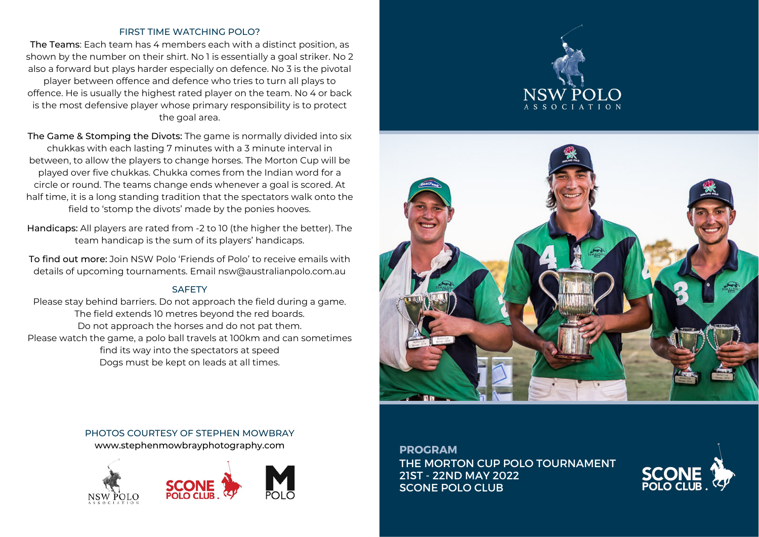## FIRST TIME WATCHING POLO?

The Teams: Each team has 4 members each with a distinct position, as shown by the number on their shirt. No 1 is essentially a goal striker. No 2 also a forward but plays harder especially on defence. No 3 is the pivotal player between offence and defence who tries to turn all plays to offence. He is usually the highest rated player on the team. No 4 or back is the most defensive player whose primary responsibility is to protect the goal area.

The Game & Stomping the Divots: The game is normally divided into six chukkas with each lasting 7 minutes with a 3 minute interval in between, to allow the players to change horses. The Morton Cup will be played over five chukkas. Chukka comes from the Indian word for a circle or round. The teams change ends whenever a goal is scored. At half time, it is a long standing tradition that the spectators walk onto the field to 'stomp the divots' made by the ponies hooves.

Handicaps: All players are rated from -2 to 10 (the higher the better). The team handicap is the sum of its players' handicaps.

To find out more: Join NSW Polo 'Friends of Polo' to receive emails with details of upcoming tournaments. Email nsw@australianpolo.com.au

## **SAFFTY**

Please stay behind barriers. Do not approach the field during a game. The field extends 10 metres beyond the red boards. Do not approach the horses and do not pat them. Please watch the game, a polo ball travels at 100km and can sometimes find its way into the spectators at speed Dogs must be kept on leads at all times.





# PHOTOS COURTESY OF STEPHEN MOWBRAY

www.stephenmowbrayphotography.com



**PROGRAM** THE MORTON CUP POLO TOURNAMENT 21ST - 22ND MAY 2022 SCONE POLO CLUB